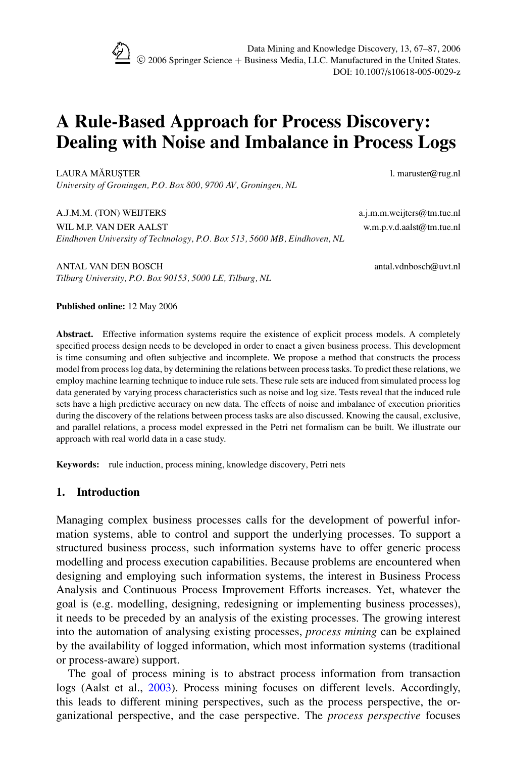

Data Mining and Knowledge Discovery, 13, 67–87, 2006  $\circ$  2006 Springer Science + Business Media, LLC. Manufactured in the United States. DOI: 10.1007/s10618-005-0029-z

# **A Rule-Based Approach for Process Discovery: Dealing with Noise and Imbalance in Process Logs**

LAURA MĂRUȘTER l. maruster@rug.nl *University of Groningen, P.O. Box 800, 9700 AV, Groningen, NL*

A.J.M.M. (TON) WEIJTERS a.j.m.m.weijters@tm.tue.nl WIL M.P. VAN DER AALST w.m.p.v.d.aalst@tm.tue.nl *Eindhoven University of Technology, P.O. Box 513, 5600 MB, Eindhoven, NL*

ANTAL VAN DEN BOSCH antal.vdnbosch@uvt.nl *Tilburg University, P.O. Box 90153, 5000 LE, Tilburg, NL*

**Published online:** 12 May 2006

Abstract. Effective information systems require the existence of explicit process models. A completely specified process design needs to be developed in order to enact a given business process. This development is time consuming and often subjective and incomplete. We propose a method that constructs the process model from process log data, by determining the relations between process tasks. To predict these relations, we employ machine learning technique to induce rule sets. These rule sets are induced from simulated process log data generated by varying process characteristics such as noise and log size. Tests reveal that the induced rule sets have a high predictive accuracy on new data. The effects of noise and imbalance of execution priorities during the discovery of the relations between process tasks are also discussed. Knowing the causal, exclusive, and parallel relations, a process model expressed in the Petri net formalism can be built. We illustrate our approach with real world data in a case study.

**Keywords:** rule induction, process mining, knowledge discovery, Petri nets

# **1. Introduction**

Managing complex business processes calls for the development of powerful information systems, able to control and support the underlying processes. To support a structured business process, such information systems have to offer generic process modelling and process execution capabilities. Because problems are encountered when designing and employing such information systems, the interest in Business Process Analysis and Continuous Process Improvement Efforts increases. Yet, whatever the goal is (e.g. modelling, designing, redesigning or implementing business processes), it needs to be preceded by an analysis of the existing processes. The growing interest into the automation of analysing existing processes, *process mining* can be explained by the availability of logged information, which most information systems (traditional or process-aware) support.

The goal of process mining is to abstract process information from transaction logs (Aalst et al., [2003\)](#page-19-0). Process mining focuses on different levels. Accordingly, this leads to different mining perspectives, such as the process perspective, the organizational perspective, and the case perspective. The *process perspective* focuses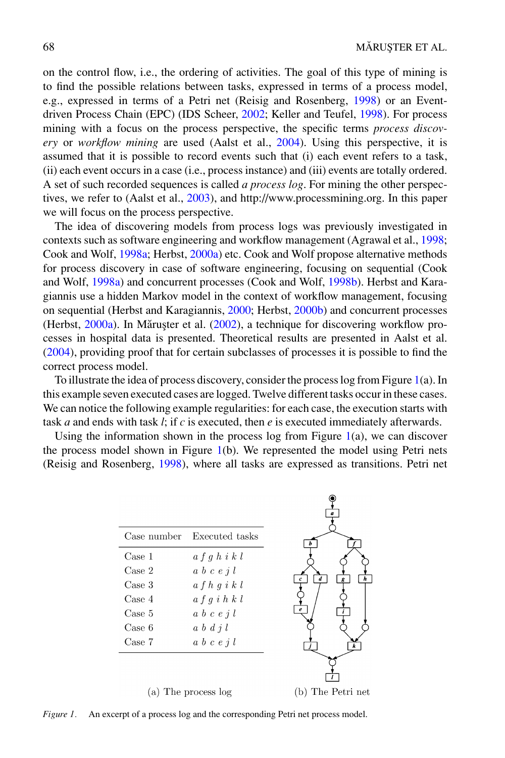on the control flow, i.e., the ordering of activities. The goal of this type of mining is to find the possible relations between tasks, expressed in terms of a process model, e.g., expressed in terms of a Petri net (Reisig and Rosenberg, [1998\)](#page-20-0) or an Eventdriven Process Chain (EPC) (IDS Scheer, [2002;](#page-20-1) Keller and Teufel, [1998\)](#page-20-2). For process mining with a focus on the process perspective, the specific terms *process discovery* or *workflow mining* are used (Aalst et al., [2004\)](#page-19-1). Using this perspective, it is assumed that it is possible to record events such that (i) each event refers to a task, (ii) each event occurs in a case (i.e., process instance) and (iii) events are totally ordered. A set of such recorded sequences is called *a process log*. For mining the other perspectives, we refer to (Aalst et al., [2003\)](#page-19-0), and http://www.processmining.org. In this paper we will focus on the process perspective.

The idea of discovering models from process logs was previously investigated in contexts such as software engineering and workflow management (Agrawal et al., [1998;](#page-19-2) Cook and Wolf, [1998a;](#page-19-3) Herbst, [2000a\)](#page-20-3) etc. Cook and Wolf propose alternative methods for process discovery in case of software engineering, focusing on sequential (Cook and Wolf, [1998a\)](#page-19-3) and concurrent processes (Cook and Wolf, [1998b\)](#page-20-4). Herbst and Karagiannis use a hidden Markov model in the context of workflow management, focusing on sequential (Herbst and Karagiannis, [2000;](#page-20-5) Herbst, [2000b\)](#page-20-6) and concurrent processes (Herbst,  $2000a$ ). In Măruster et al.  $(2002)$ , a technique for discovering workflow processes in hospital data is presented. Theoretical results are presented in Aalst et al. [\(2004\)](#page-19-1), providing proof that for certain subclasses of processes it is possible to find the correct process model.

To illustrate the idea of process discovery, consider the process log from Figure [1\(](#page-1-0)a). In this example seven executed cases are logged. Twelve different tasks occur in these cases. We can notice the following example regularities: for each case, the execution starts with task *a* and ends with task *l*; if *c* is executed, then *e* is executed immediately afterwards.

<span id="page-1-0"></span>Using the information shown in the process log from Figure  $1(a)$  $1(a)$ , we can discover the process model shown in Figure  $1(b)$  $1(b)$ . We represented the model using Petri nets (Reisig and Rosenberg, [1998\)](#page-20-0), where all tasks are expressed as transitions. Petri net

*Figure 1.* An excerpt of a process log and the corresponding Petri net process model.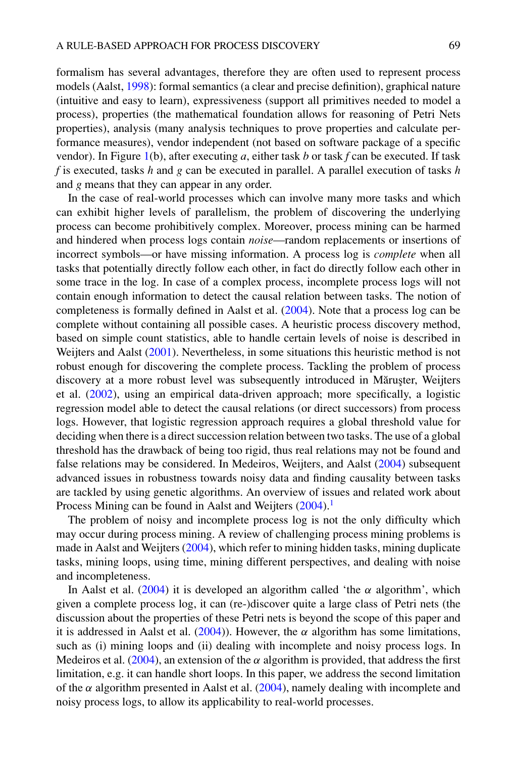formalism has several advantages, therefore they are often used to represent process models (Aalst, [1998\)](#page-19-4): formal semantics (a clear and precise definition), graphical nature (intuitive and easy to learn), expressiveness (support all primitives needed to model a process), properties (the mathematical foundation allows for reasoning of Petri Nets properties), analysis (many analysis techniques to prove properties and calculate performance measures), vendor independent (not based on software package of a specific vendor). In Figure [1\(](#page-1-0)b), after executing *a*, either task *b* or task *f* can be executed. If task *f* is executed, tasks *h* and *g* can be executed in parallel. A parallel execution of tasks *h* and *g* means that they can appear in any order.

In the case of real-world processes which can involve many more tasks and which can exhibit higher levels of parallelism, the problem of discovering the underlying process can become prohibitively complex. Moreover, process mining can be harmed and hindered when process logs contain *noise*—random replacements or insertions of incorrect symbols—or have missing information. A process log is *complete* when all tasks that potentially directly follow each other, in fact do directly follow each other in some trace in the log. In case of a complex process, incomplete process logs will not contain enough information to detect the causal relation between tasks. The notion of completeness is formally defined in Aalst et al. [\(2004\)](#page-19-1). Note that a process log can be complete without containing all possible cases. A heuristic process discovery method, based on simple count statistics, able to handle certain levels of noise is described in Weijters and Aalst [\(2001\)](#page-20-8). Nevertheless, in some situations this heuristic method is not robust enough for discovering the complete process. Tackling the problem of process discovery at a more robust level was subsequently introduced in Măruster, Weijters et al. [\(2002\)](#page-20-7), using an empirical data-driven approach; more specifically, a logistic regression model able to detect the causal relations (or direct successors) from process logs. However, that logistic regression approach requires a global threshold value for deciding when there is a direct succession relation between two tasks. The use of a global threshold has the drawback of being too rigid, thus real relations may not be found and false relations may be considered. In Medeiros, Weijters, and Aalst [\(2004\)](#page-20-9) subsequent advanced issues in robustness towards noisy data and finding causality between tasks are tackled by using genetic algorithms. An overview of issues and related work about Process Mining can be found in Aalst and Weijters [\(2004\)](#page-19-1)[.](#page-19-5)<sup>1</sup>

The problem of noisy and incomplete process log is not the only difficulty which may occur during process mining. A review of challenging process mining problems is made in Aalst and Weijters [\(2004\)](#page-19-1), which refer to mining hidden tasks, mining duplicate tasks, mining loops, using time, mining different perspectives, and dealing with noise and incompleteness.

In Aalst et al. [\(2004\)](#page-19-1) it is developed an algorithm called 'the  $\alpha$  algorithm', which given a complete process log, it can (re-)discover quite a large class of Petri nets (the discussion about the properties of these Petri nets is beyond the scope of this paper and it is addressed in Aalst et al. [\(2004\)](#page-19-1)). However, the  $\alpha$  algorithm has some limitations, such as (i) mining loops and (ii) dealing with incomplete and noisy process logs. In Medeiros et al. [\(2004\)](#page-20-10), an extension of the  $\alpha$  algorithm is provided, that address the first limitation, e.g. it can handle short loops. In this paper, we address the second limitation of the  $\alpha$  algorithm presented in Aalst et al. [\(2004\)](#page-20-10), namely dealing with incomplete and noisy process logs, to allow its applicability to real-world processes.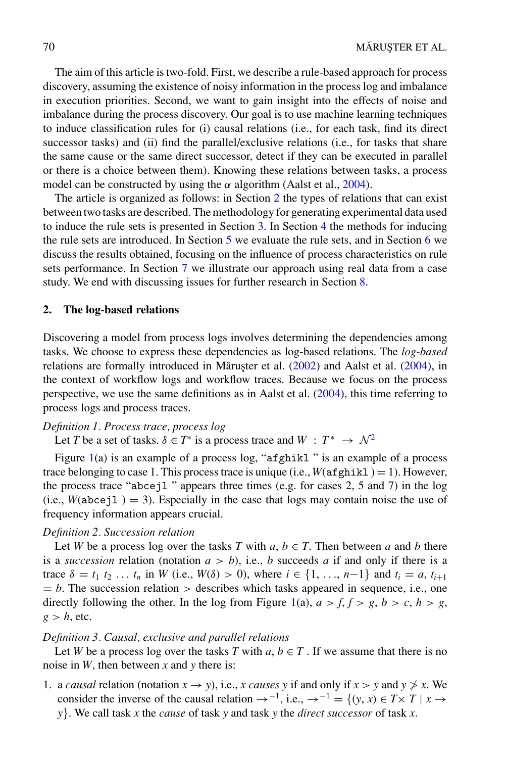The aim of this article is two-fold. First, we describe a rule-based approach for process discovery, assuming the existence of noisy information in the process log and imbalance in execution priorities. Second, we want to gain insight into the effects of noise and imbalance during the process discovery. Our goal is to use machine learning techniques to induce classification rules for (i) causal relations (i.e., for each task, find its direct successor tasks) and (ii) find the parallel/exclusive relations (i.e., for tasks that share the same cause or the same direct successor, detect if they can be executed in parallel or there is a choice between them). Knowing these relations between tasks, a process model can be constructed by using the  $\alpha$  algorithm (Aalst et al., [2004\)](#page-19-1).

The article is organized as follows: in Section [2](#page-3-0) the types of relations that can exist between two tasks are described. The methodology for generating experimental data used to induce the rule sets is presented in Section [3.](#page-4-0) In Section [4](#page-6-0) the methods for inducing the rule sets are introduced. In Section [5](#page-8-0) we evaluate the rule sets, and in Section [6](#page-14-0) we discuss the results obtained, focusing on the influence of process characteristics on rule sets performance. In Section [7](#page-17-0) we illustrate our approach using real data from a case study. We end with discussing issues for further research in Section [8.](#page-18-0)

## <span id="page-3-0"></span>**2. The log-based relations**

Discovering a model from process logs involves determining the dependencies among tasks. We choose to express these dependencies as log-based relations. The *log-based* relations are formally introduced in Măruster et al.  $(2002)$  and Aalst et al.  $(2004)$ , in the context of workflow logs and workflow traces. Because we focus on the process perspective, we use the same definitions as in Aalst et al. [\(2004\)](#page-19-1), this time referring to process logs and process traces.

## *Definition 1. Process trace, process log*

Let *T* be a set of tasks.  $\delta \in T^*$  is a process trace and  $W : T^* \to \mathcal{N}^2$ 

Figure  $1(a)$  $1(a)$  is an example of a process log, "afghikl" is an example of a process trace belonging to case 1. This process trace is unique (i.e.,  $W(\text{afghikl}) = 1$ ). However, the process trace "abcejl " appears three times (e.g. for cases 2, 5 and 7) in the log  $(i.e., W(abc) = 3)$ . Especially in the case that logs may contain noise the use of frequency information appears crucial.

# *Definition 2. Succession relation*

Let *W* be a process log over the tasks *T* with  $a, b \in T$ . Then between  $a$  and  $b$  there is a *succession* relation (notation  $a > b$ ), i.e., *b* succeeds *a* if and only if there is a trace  $\delta = t_1 \ t_2 \ \dots \ t_n$  in *W* (i.e., *W*( $\delta$ ) > 0), where  $i \in \{1, \dots, n-1\}$  and  $t_i = a, t_{i+1}$  $= b$ . The succession relation  $>$  describes which tasks appeared in sequence, i.e., one directly following the other. In the log from Figure [1\(](#page-1-0)a),  $a > f, f > g, b > c, h > g$ ,  $g > h$ , etc.

#### *Definition 3. Causal, exclusive and parallel relations*

Let *W* be a process log over the tasks *T* with  $a, b \in T$ . If we assume that there is no noise in *W*, then between *x* and *y* there is:

1. a *causal* relation (notation  $x \rightarrow y$ ), i.e., *x causes y* if and only if  $x > y$  and  $y \not\geq x$ . We consider the inverse of the causal relation  $\rightarrow^{-1}$ , i.e.,  $\rightarrow^{-1} = \{(y, x) \in T \times T \mid x \rightarrow$ *y*}. We call task *x* the *cause* of task *y* and task *y* the *direct successor* of task *x*.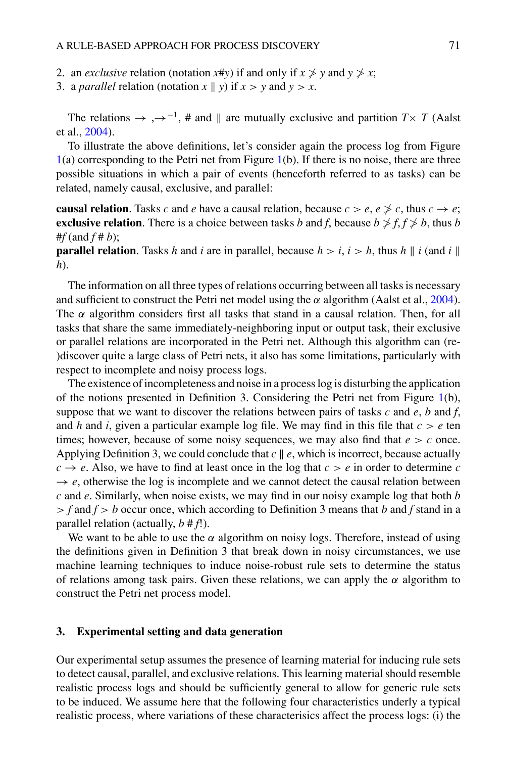2. an *exclusive* relation (notation *x*#*y*) if and only if  $x \geq y$  and  $y \geq x$ ;

3. a *parallel* relation (notation  $x \parallel y$ ) if  $x > y$  and  $y > x$ .

The relations  $\rightarrow$ ,  $\rightarrow$ <sup>-1</sup>, # and || are mutually exclusive and partition *T* × *T* (Aalst et al., [2004\)](#page-19-1).

To illustrate the above definitions, let's consider again the process log from Figure  $1(a)$  $1(a)$  corresponding to the Petri net from Figure  $1(b)$ . If there is no noise, there are three possible situations in which a pair of events (henceforth referred to as tasks) can be related, namely causal, exclusive, and parallel:

**causal relation**. Tasks *c* and *e* have a causal relation, because  $c > e$ ,  $e \nsucceq c$ , thus  $c \rightarrow e$ ; **exclusive relation**. There is a choice between tasks *b* and *f*, because  $b \not\ge f$ ,  $f \not\ge b$ , thus *b*  $#f$  (and  $f \# b$ );

**parallel relation**. Tasks *h* and *i* are in parallel, because  $h > i$ ,  $i > h$ , thus  $h \parallel i$  (and  $i \parallel$ ) *h*).

The information on all three types of relations occurring between all tasks is necessary and sufficient to construct the Petri net model using the  $\alpha$  algorithm (Aalst et al., [2004\)](#page-19-1). The  $\alpha$  algorithm considers first all tasks that stand in a causal relation. Then, for all tasks that share the same immediately-neighboring input or output task, their exclusive or parallel relations are incorporated in the Petri net. Although this algorithm can (re- )discover quite a large class of Petri nets, it also has some limitations, particularly with respect to incomplete and noisy process logs.

The existence of incompleteness and noise in a process log is disturbing the application of the notions presented in Definition 3. Considering the Petri net from Figure  $1(b)$  $1(b)$ , suppose that we want to discover the relations between pairs of tasks  $c$  and  $e$ ,  $b$  and  $f$ , and *h* and *i*, given a particular example log file. We may find in this file that  $c > e$  ten times; however, because of some noisy sequences, we may also find that  $e > c$  once. Applying Definition 3, we could conclude that  $c \parallel e$ , which is incorrect, because actually  $c \rightarrow e$ . Also, we have to find at least once in the log that  $c > e$  in order to determine *c*  $\rightarrow e$ , otherwise the log is incomplete and we cannot detect the causal relation between *c* and *e*. Similarly, when noise exists, we may find in our noisy example log that both *b*  $> f$  and  $f > b$  occur once, which according to Definition 3 means that *b* and *f* stand in a parallel relation (actually,  $b \# f$ ).

We want to be able to use the  $\alpha$  algorithm on noisy logs. Therefore, instead of using the definitions given in Definition 3 that break down in noisy circumstances, we use machine learning techniques to induce noise-robust rule sets to determine the status of relations among task pairs. Given these relations, we can apply the  $\alpha$  algorithm to construct the Petri net process model.

## <span id="page-4-0"></span>**3. Experimental setting and data generation**

Our experimental setup assumes the presence of learning material for inducing rule sets to detect causal, parallel, and exclusive relations. This learning material should resemble realistic process logs and should be sufficiently general to allow for generic rule sets to be induced. We assume here that the following four characteristics underly a typical realistic process, where variations of these characterisics affect the process logs: (i) the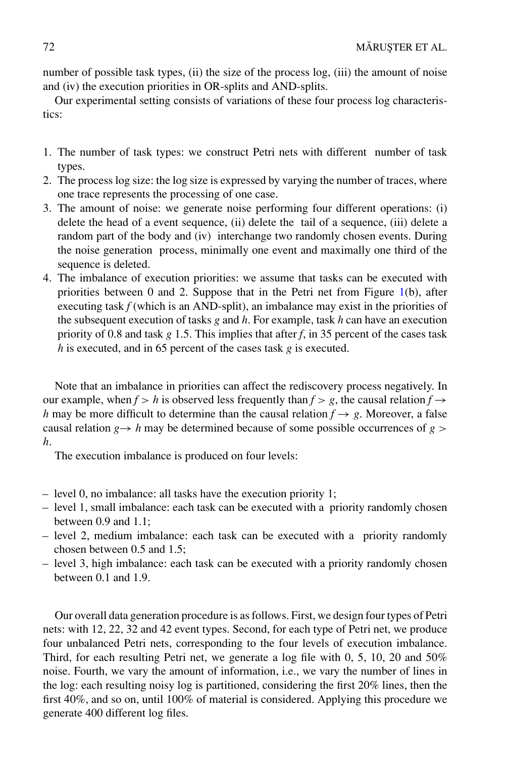number of possible task types, (ii) the size of the process log, (iii) the amount of noise and (iv) the execution priorities in OR-splits and AND-splits.

Our experimental setting consists of variations of these four process log characteristics:

- 1. The number of task types: we construct Petri nets with different number of task types.
- 2. The process log size: the log size is expressed by varying the number of traces, where one trace represents the processing of one case.
- 3. The amount of noise: we generate noise performing four different operations: (i) delete the head of a event sequence, (ii) delete the tail of a sequence, (iii) delete a random part of the body and (iv) interchange two randomly chosen events. During the noise generation process, minimally one event and maximally one third of the sequence is deleted.
- 4. The imbalance of execution priorities: we assume that tasks can be executed with priorities between 0 and 2. Suppose that in the Petri net from Figure [1\(](#page-1-0)b), after executing task  $f$  (which is an AND-split), an imbalance may exist in the priorities of the subsequent execution of tasks *g* and *h*. For example, task *h* can have an execution priority of 0.8 and task *g* 1.5. This implies that after *f*, in 35 percent of the cases task *h* is executed, and in 65 percent of the cases task *g* is executed.

Note that an imbalance in priorities can affect the rediscovery process negatively. In our example, when  $f > h$  is observed less frequently than  $f > g$ , the causal relation  $f \rightarrow$ *h* may be more difficult to determine than the causal relation  $f \rightarrow g$ . Moreover, a false causal relation  $g \rightarrow h$  may be determined because of some possible occurrences of  $g >$ *h*.

The execution imbalance is produced on four levels:

- level 0, no imbalance: all tasks have the execution priority 1;
- level 1, small imbalance: each task can be executed with a priority randomly chosen between 0.9 and 1.1;
- level 2, medium imbalance: each task can be executed with a priority randomly chosen between 0.5 and 1.5;
- level 3, high imbalance: each task can be executed with a priority randomly chosen between 0.1 and 1.9.

Our overall data generation procedure is as follows. First, we design four types of Petri nets: with 12, 22, 32 and 42 event types. Second, for each type of Petri net, we produce four unbalanced Petri nets, corresponding to the four levels of execution imbalance. Third, for each resulting Petri net, we generate a log file with 0, 5, 10, 20 and 50% noise. Fourth, we vary the amount of information, i.e., we vary the number of lines in the log: each resulting noisy log is partitioned, considering the first 20% lines, then the first 40%, and so on, until 100% of material is considered. Applying this procedure we generate 400 different log files.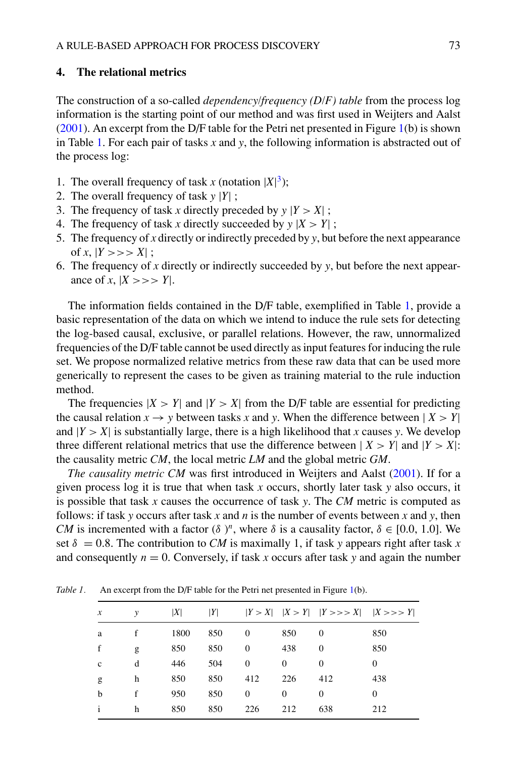# <span id="page-6-0"></span>**4. The relational metrics**

The construction of a so-called *dependency/frequency (D/F) table* from the process log information is the starting point of our method and was first used in Weijters and Aalst [\(2001\)](#page-20-8). An excerpt from the D/F table for the Petri net presented in Figure [1\(](#page-1-0)b) is shown in Table [1.](#page-6-1) For each pair of tasks *x* and *y*, the following information is abstracted out of the process log:

- 1. The overall frequency of task *x* (notation  $|X|^3$ [\)](#page-19-6);
- 2. The overall frequency of task *y* |*Y*| ;
- 3. The frequency of task *x* directly preceded by  $y |Y > X$ ;
- 4. The frequency of task *x* directly succeeded by  $y |X > Y|$ ;
- 5. The frequency of *x* directly or indirectly preceded by *y*, but before the next appearance of *x*,  $|Y \gg X|$ ;
- 6. The frequency of *x* directly or indirectly succeeded by *y*, but before the next appearance of *x*,  $|X \rangle > > Y$ .

The information fields contained in the D/F table, exemplified in Table [1,](#page-6-1) provide a basic representation of the data on which we intend to induce the rule sets for detecting the log-based causal, exclusive, or parallel relations. However, the raw, unnormalized frequencies of the D/F table cannot be used directly as input features for inducing the rule set. We propose normalized relative metrics from these raw data that can be used more generically to represent the cases to be given as training material to the rule induction method.

The frequencies  $|X > Y|$  and  $|Y > X|$  from the D/F table are essential for predicting the causal relation  $x \to y$  between tasks *x* and *y*. When the difference between  $|X > Y|$ and  $|Y| > X$  is substantially large, there is a high likelihood that *x* causes *y*. We develop three different relational metrics that use the difference between  $| X > Y |$  and  $| Y > X |$ : the causality metric *CM*, the local metric *LM* and the global metric *GM*.

*The causality metric CM* was first introduced in Weijters and Aalst [\(2001\)](#page-20-8). If for a given process log it is true that when task *x* occurs, shortly later task *y* also occurs, it is possible that task *x* causes the occurrence of task *y*. The *CM* metric is computed as follows: if task *y* occurs after task *x* and *n* is the number of events between *x* and *y*, then *CM* is incremented with a factor  $(\delta)^n$ , where  $\delta$  is a causality factor,  $\delta \in [0.0, 1.0]$ . We set  $\delta = 0.8$ . The contribution to *CM* is maximally 1, if task y appears right after task x and consequently  $n = 0$ . Conversely, if task *x* occurs after task *y* and again the number

| $\boldsymbol{\mathcal{X}}$ | ν | X    | Y   |                |              | $ Y > X $ $ X > Y $ $ Y >> X $ $ X >> Y $ |          |
|----------------------------|---|------|-----|----------------|--------------|-------------------------------------------|----------|
| a                          | f | 1800 | 850 | $\mathbf{0}$   | 850          | $\mathbf{0}$                              | 850      |
| f                          | g | 850  | 850 | $\overline{0}$ | 438          | $\mathbf{0}$                              | 850      |
| $\mathbf c$                | d | 446  | 504 | $\mathbf{0}$   | $\Omega$     | $\theta$                                  | $\Omega$ |
| g                          | h | 850  | 850 | 412            | 226          | 412                                       | 438      |
| b                          | f | 950  | 850 | $\overline{0}$ | $\mathbf{0}$ | $\Omega$                                  | $\Omega$ |
|                            | h | 850  | 850 | 226            | 212          | 638                                       | 212      |

<span id="page-6-1"></span>*Table 1.* An excerpt from the D/F table for the Petri net presented in Figure [1\(](#page-1-0)b).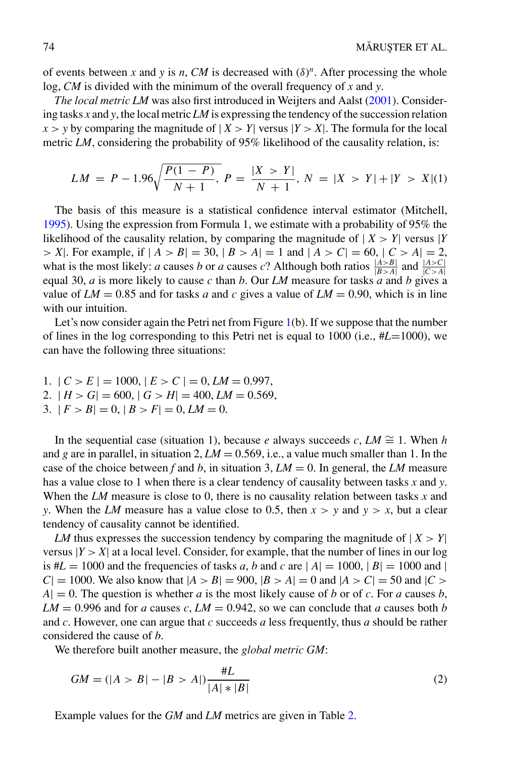of events between x and y is  $n$ , CM is decreased with  $(\delta)^n$ . After processing the whole log, *CM* is divided with the minimum of the overall frequency of *x* and *y*.

*The local metric LM* was also first introduced in Weijters and Aalst [\(2001\)](#page-20-8). Considering tasks *x* and *y*, the local metric *LM* is expressing the tendency of the succession relation  $x > y$  by comparing the magnitude of  $|X > Y|$  versus  $|Y > X|$ . The formula for the local metric *LM*, considering the probability of 95% likelihood of the causality relation, is:

$$
LM = P - 1.96\sqrt{\frac{P(1 - P)}{N + 1}}, P = \frac{|X > Y|}{N + 1}, N = |X > Y| + |Y > X|(1)
$$

The basis of this measure is a statistical confidence interval estimator (Mitchell, [1995\)](#page-20-11). Using the expression from Formula 1, we estimate with a probability of 95% the likelihood of the causality relation, by comparing the magnitude of  $|X \rangle Y$  versus |*Y*  $> X$ . For example, if  $|A > B| = 30$ ,  $|B > A| = 1$  and  $|A > C| = 60$ ,  $|C > A| = 2$ , what is the most likely: *a* causes *b* or *a* causes *c*? Although both ratios  $\frac{|A>B|}{|B>A|}$  and  $\frac{|A>C|}{|C>A|}$ equal 30, *a* is more likely to cause *c* than *b*. Our *LM* measure for tasks *a* and *b* gives a value of  $LM = 0.85$  and for tasks *a* and *c* gives a value of  $LM = 0.90$ , which is in line with our intuition.

Let's now consider again the Petri net from Figure  $1(b)$  $1(b)$ . If we suppose that the number of lines in the log corresponding to this Petri net is equal to 1000 (i.e., #*L*=1000), we can have the following three situations:

- 1.  $|C > E| = 1000, |E > C| = 0, LM = 0.997,$
- 2.  $|H > G| = 600, |G > H| = 400, LM = 0.569,$
- 3.  $|F > B| = 0, |B > F| = 0, LM = 0.$

In the sequential case (situation 1), because *e* always succeeds *c*, *LM*  $\cong$  1. When *h* and *g* are in parallel, in situation 2,  $LM = 0.569$ , i.e., a value much smaller than 1. In the case of the choice between *f* and *b*, in situation 3,  $LM = 0$ . In general, the LM measure has a value close to 1 when there is a clear tendency of causality between tasks *x* and *y*. When the *LM* measure is close to 0, there is no causality relation between tasks *x* and *y*. When the *LM* measure has a value close to 0.5, then  $x > y$  and  $y > x$ , but a clear tendency of causality cannot be identified.

*LM* thus expresses the succession tendency by comparing the magnitude of  $| X > Y |$ versus  $|Y| > X$  at a local level. Consider, for example, that the number of lines in our log is  $#L = 1000$  and the frequencies of tasks *a*, *b* and *c* are  $|A| = 1000$ ,  $|B| = 1000$  and |  $|C| = 1000$ . We also know that  $|A > B| = 900$ ,  $|B > A| = 0$  and  $|A > C| = 50$  and  $|C > A|$  $A| = 0$ . The question is whether *a* is the most likely cause of *b* or of *c*. For *a* causes *b*,  $LM = 0.996$  and for *a* causes *c*,  $LM = 0.942$ , so we can conclude that *a* causes both *b* and *c*. However, one can argue that *c* succeeds *a* less frequently, thus *a* should be rather considered the cause of *b*.

We therefore built another measure, the *global metric GM*:

$$
GM = (|A > B| - |B > A|) \frac{\#L}{|A| * |B|}
$$
 (2)

Example values for the *GM* and *LM* metrics are given in Table [2.](#page-8-1)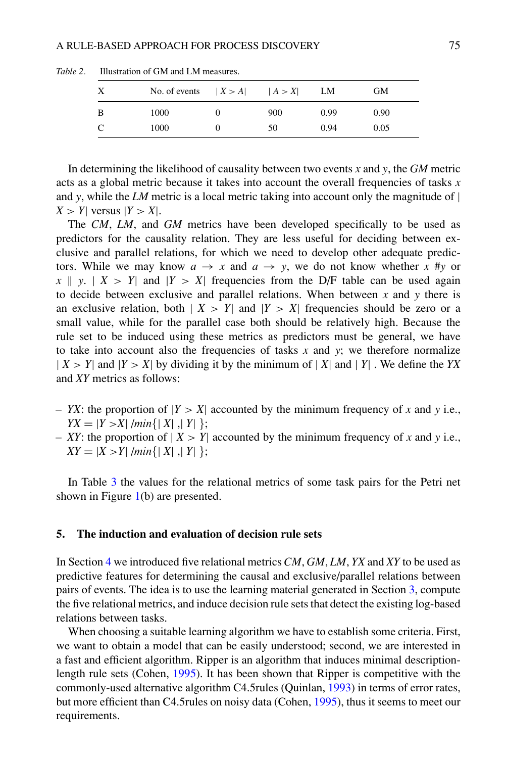| Х | No. of events $ X > A $ | A>X | LM   | GМ   |
|---|-------------------------|-----|------|------|
| B | 1000                    | 900 | 0.99 | 0.90 |
| C | 1000                    | 50  | 0.94 | 0.05 |

<span id="page-8-1"></span>*Table 2.* Illustration of GM and LM measures.

In determining the likelihood of causality between two events *x* and *y*, the *GM* metric acts as a global metric because it takes into account the overall frequencies of tasks *x* and *y*, while the *LM* metric is a local metric taking into account only the magnitude of  $\vert$  $X > Y$ | versus  $|Y > X|$ .

The *CM*, *LM*, and *GM* metrics have been developed specifically to be used as predictors for the causality relation. They are less useful for deciding between exclusive and parallel relations, for which we need to develop other adequate predictors. While we may know  $a \rightarrow x$  and  $a \rightarrow y$ , we do not know whether x #y or  $x \parallel y$ .  $| X > Y |$  and  $| Y > X |$  frequencies from the D/F table can be used again to decide between exclusive and parallel relations. When between *x* and *y* there is an exclusive relation, both  $| X > Y |$  and  $| Y > X |$  frequencies should be zero or a small value, while for the parallel case both should be relatively high. Because the rule set to be induced using these metrics as predictors must be general, we have to take into account also the frequencies of tasks *x* and *y*; we therefore normalize  $| X > Y |$  and  $| Y > X |$  by dividing it by the minimum of  $| X |$  and  $| Y |$ . We define the *YX* and *XY* metrics as follows:

- *YX*: the proportion of |*Y* > *X*| accounted by the minimum frequency of *x* and *y* i.e.,  $YX = |Y > X| / min\{|X|, |Y|\};$
- $XY$ : the proportion of  $| X > Y |$  accounted by the minimum frequency of *x* and *y* i.e.,  $XY = |X > Y| / min\{|X|, |Y|\};$

In Table [3](#page-9-0) the values for the relational metrics of some task pairs for the Petri net shown in Figure [1\(](#page-1-0)b) are presented.

# <span id="page-8-0"></span>**5. The induction and evaluation of decision rule sets**

In Section [4](#page-6-0) we introduced five relational metrics *CM*, *GM*, *LM*, *YX* and *XY* to be used as predictive features for determining the causal and exclusive/parallel relations between pairs of events. The idea is to use the learning material generated in Section [3,](#page-4-0) compute the five relational metrics, and induce decision rule sets that detect the existing log-based relations between tasks.

When choosing a suitable learning algorithm we have to establish some criteria. First, we want to obtain a model that can be easily understood; second, we are interested in a fast and efficient algorithm. Ripper is an algorithm that induces minimal descriptionlength rule sets (Cohen, [1995\)](#page-19-7). It has been shown that Ripper is competitive with the commonly-used alternative algorithm C4.5rules (Quinlan, [1993\)](#page-20-12) in terms of error rates, but more efficient than C4.5rules on noisy data (Cohen, [1995\)](#page-19-7), thus it seems to meet our requirements.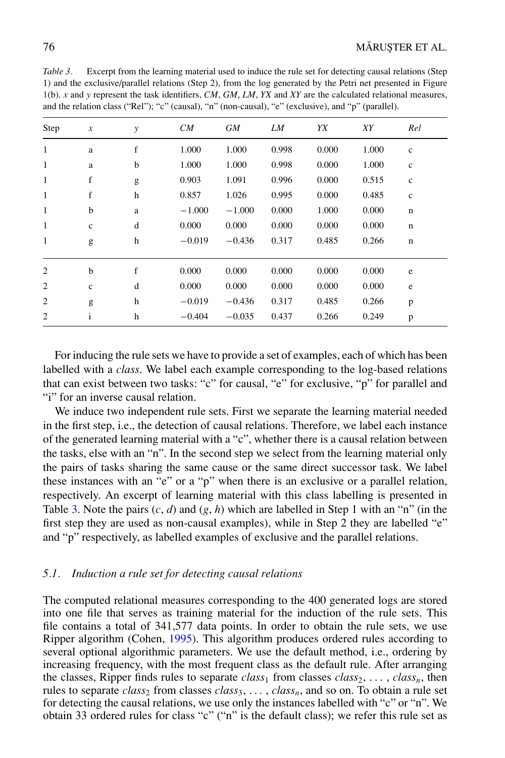<span id="page-9-0"></span>*Table 3.* Excerpt from the learning material used to induce the rule set for detecting causal relations (Step 1) and the exclusive/parallel relations (Step 2), from the log generated by the Petri net presented in Figure [1\(](#page-1-0)b). *x* and *y* represent the task identifiers, *CM*, *GM*, *LM*, *YX* and *XY* are the calculated relational measures, and the relation class ("Rel"); "c" (causal), "n" (non-causal), "e" (exclusive), and "p" (parallel).

| Step         | $\boldsymbol{x}$ | y           | CM       | GМ       | LM    | YX    | XY    | Rel         |
|--------------|------------------|-------------|----------|----------|-------|-------|-------|-------------|
| $\mathbf{1}$ | a                | f           | 1.000    | 1.000    | 0.998 | 0.000 | 1.000 | $\mathbf c$ |
| 1            | a                | b           | 1.000    | 1.000    | 0.998 | 0.000 | 1.000 | $\mathbf c$ |
| 1            | f                | g           | 0.903    | 1.091    | 0.996 | 0.000 | 0.515 | $\mathbf c$ |
| 1            | f                | $\mathbf h$ | 0.857    | 1.026    | 0.995 | 0.000 | 0.485 | $\mathbf c$ |
| $\mathbf{1}$ | $\mathbf b$      | a           | $-1.000$ | $-1.000$ | 0.000 | 1.000 | 0.000 | $\mathbf n$ |
| 1            | $\mathbf{c}$     | d           | 0.000    | 0.000    | 0.000 | 0.000 | 0.000 | n           |
| $\mathbf{1}$ | g                | $\mathbf h$ | $-0.019$ | $-0.436$ | 0.317 | 0.485 | 0.266 | $\mathbf n$ |
| 2            | $\mathbf b$      | f           | 0.000    | 0.000    | 0.000 | 0.000 | 0.000 | e           |
| 2            | $\mathbf{c}$     | d           | 0.000    | 0.000    | 0.000 | 0.000 | 0.000 | e           |
| 2            | g                | h           | $-0.019$ | $-0.436$ | 0.317 | 0.485 | 0.266 | p           |
| 2            | $\mathbf{i}$     | $\mathbf h$ | $-0.404$ | $-0.035$ | 0.437 | 0.266 | 0.249 | p           |

For inducing the rule sets we have to provide a set of examples, each of which has been labelled with a *class*. We label each example corresponding to the log-based relations that can exist between two tasks: "c" for causal, "e" for exclusive, "p" for parallel and "i" for an inverse causal relation.

We induce two independent rule sets. First we separate the learning material needed in the first step, i.e., the detection of causal relations. Therefore, we label each instance of the generated learning material with a "c", whether there is a causal relation between the tasks, else with an "n". In the second step we select from the learning material only the pairs of tasks sharing the same cause or the same direct successor task. We label these instances with an "e" or a "p" when there is an exclusive or a parallel relation, respectively. An excerpt of learning material with this class labelling is presented in Table [3.](#page-9-0) Note the pairs  $(c, d)$  and  $(g, h)$  which are labelled in Step 1 with an "n" (in the first step they are used as non-causal examples), while in Step 2 they are labelled "e" and "p" respectively, as labelled examples of exclusive and the parallel relations.

# *5.1. Induction a rule set for detecting causal relations*

The computed relational measures corresponding to the 400 generated logs are stored into one file that serves as training material for the induction of the rule sets. This file contains a total of 341,577 data points. In order to obtain the rule sets, we use Ripper algorithm (Cohen, [1995\)](#page-19-7). This algorithm produces ordered rules according to several optional algorithmic parameters. We use the default method, i.e., ordering by increasing frequency, with the most frequent class as the default rule. After arranging the classes, Ripper finds rules to separate  $class_1$  from classes  $class_2$ , ...,  $class_n$ , then rules to separate *class*<sub>2</sub> from classes *class*<sub>3</sub>, ..., *class<sub>n</sub>*, and so on. To obtain a rule set for detecting the causal relations, we use only the instances labelled with "c" or "n". We obtain 33 ordered rules for class "c" ("n" is the default class); we refer this rule set as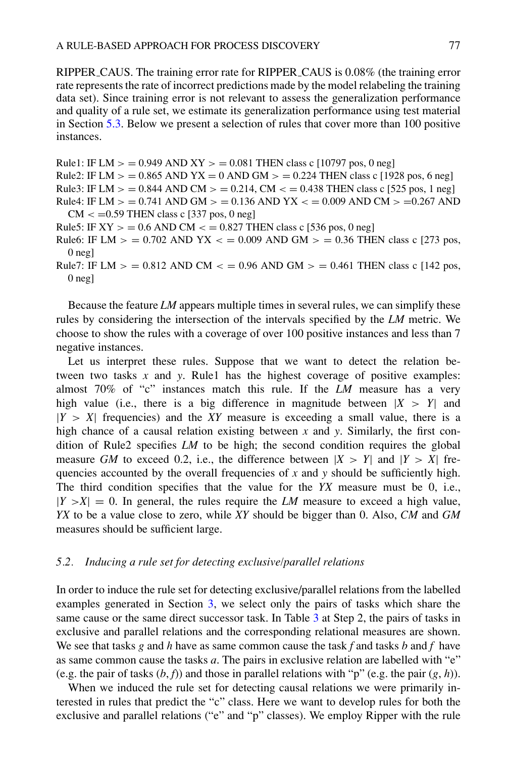RIPPER CAUS. The training error rate for RIPPER CAUS is 0.08% (the training error rate represents the rate of incorrect predictions made by the model relabeling the training data set). Since training error is not relevant to assess the generalization performance and quality of a rule set, we estimate its generalization performance using test material in Section [5.3.](#page-12-0) Below we present a selection of rules that cover more than 100 positive instances.

Rule1: IF LM  $> = 0.949$  AND XY  $> = 0.081$  THEN class c [10797 pos, 0 neg] Rule2: IF LM  $> = 0.865$  AND YX  $= 0$  AND GM  $> = 0.224$  THEN class c [1928 pos, 6 neg] Rule3: IF LM  $> = 0.844$  AND CM  $> = 0.214$ , CM  $< = 0.438$  THEN class c [525 pos, 1 neg] Rule4: IF LM  $> = 0.741$  AND GM  $> = 0.136$  AND YX  $< = 0.009$  AND CM  $> = 0.267$  AND  $CM <$  =0.59 THEN class c [337 pos, 0 neg] Rule5: IF  $XY > 0.6$  AND CM  $\lt = 0.827$  THEN class c [536 pos, 0 neg] Rule6: IF LM  $> = 0.702$  AND YX  $< = 0.009$  AND GM  $> = 0.36$  THEN class c [273 pos, 0 neg] Rule7: IF LM  $> = 0.812$  AND CM  $< = 0.96$  AND GM  $> = 0.461$  THEN class c [142 pos,

0 neg]

Because the feature *LM* appears multiple times in several rules, we can simplify these rules by considering the intersection of the intervals specified by the *LM* metric. We choose to show the rules with a coverage of over 100 positive instances and less than 7 negative instances.

Let us interpret these rules. Suppose that we want to detect the relation between two tasks  $x$  and  $y$ . Rule1 has the highest coverage of positive examples: almost 70% of "c" instances match this rule. If the *LM* measure has a very high value (i.e., there is a big difference in magnitude between  $|X > Y|$  and  $|Y \rangle$  *X* frequencies) and the *XY* measure is exceeding a small value, there is a high chance of a causal relation existing between x and y. Similarly, the first condition of Rule2 specifies *LM* to be high; the second condition requires the global measure *GM* to exceed 0.2, i.e., the difference between  $|X > Y|$  and  $|Y > X|$  frequencies accounted by the overall frequencies of *x* and *y* should be sufficiently high. The third condition specifies that the value for the *YX* measure must be 0, i.e.,  $|Y| > X$  = 0. In general, the rules require the *LM* measure to exceed a high value, *YX* to be a value close to zero, while *XY* should be bigger than 0. Also, *CM* and *GM* measures should be sufficient large.

# *5.2. Inducing a rule set for detecting exclusive/parallel relations*

In order to induce the rule set for detecting exclusive/parallel relations from the labelled examples generated in Section [3,](#page-4-0) we select only the pairs of tasks which share the same cause or the same direct successor task. In Table [3](#page-9-0) at Step 2, the pairs of tasks in exclusive and parallel relations and the corresponding relational measures are shown. We see that tasks *g* and *h* have as same common cause the task *f* and tasks *b* and *f* have as same common cause the tasks *a*. The pairs in exclusive relation are labelled with "e" (e.g. the pair of tasks  $(b, f)$ ) and those in parallel relations with "p" (e.g. the pair  $(g, h)$ ).

When we induced the rule set for detecting causal relations we were primarily interested in rules that predict the "c" class. Here we want to develop rules for both the exclusive and parallel relations ("e" and "p" classes). We employ Ripper with the rule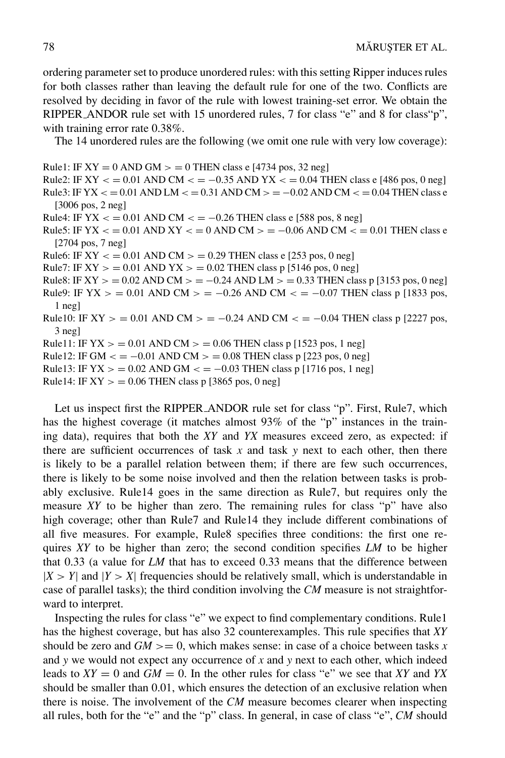ordering parameter set to produce unordered rules: with this setting Ripper induces rules for both classes rather than leaving the default rule for one of the two. Conflicts are resolved by deciding in favor of the rule with lowest training-set error. We obtain the RIPPER ANDOR rule set with 15 unordered rules, 7 for class "e" and 8 for class"p", with training error rate 0.38%.

The 14 unordered rules are the following (we omit one rule with very low coverage):

Rule1: IF  $XY = 0$  AND GM  $> = 0$  THEN class e [4734 pos, 32 neg] Rule2: IF XY  $\lt$  = 0.01 AND CM  $\lt$  = -0.35 AND YX  $\lt$  = 0.04 THEN class e [486 pos, 0 neg] Rule3: IF YX  $\lt = 0.01$  AND LM  $\lt = 0.31$  AND CM  $\gt = -0.02$  AND CM  $\lt = 0.04$  THEN class e [3006 pos, 2 neg] Rule4: IF YX  $<$  = 0.01 AND CM  $<$  = -0.26 THEN class e [588 pos, 8 neg] Rule5: IF  $YX \le 0.01$  AND  $XY \le 0$  AND CM  $\ge 0.06$  AND CM  $\le 0.01$  THEN class e [2704 pos, 7 neg] Rule6: IF  $XY \le 0.01$  AND CM  $> 0.29$  THEN class e [253 pos, 0 neg] Rule7: IF  $XY$  > = 0.01 AND  $YX$  > = 0.02 THEN class p [5146 pos, 0 neg] Rule8: IF XY > = 0.02 AND CM > = -0.24 AND LM > = 0.33 THEN class p [3153 pos, 0 neg] Rule9: IF YX > = 0.01 AND CM > = -0.26 AND CM < = -0.07 THEN class p [1833 pos, 1 neg] Rule10: IF XY > = 0.01 AND CM > = -0.24 AND CM < = -0.04 THEN class p [2227 pos, 3 neg] Rule11: IF  $YX > 0.01$  AND CM  $> 0.06$  THEN class p [1523 pos, 1 neg] Rule12: IF GM  $\lt = -0.01$  AND CM  $\gt = 0.08$  THEN class p [223 pos, 0 neg] Rule13: IF  $YX > 0.02$  AND GM  $\lt = -0.03$  THEN class p [1716 pos, 1 neg] Rule14: IF  $XY > 0.06$  THEN class p [3865 pos, 0 neg]

Let us inspect first the RIPPER\_ANDOR rule set for class "p". First, Rule7, which has the highest coverage (it matches almost 93% of the "p" instances in the training data), requires that both the *XY* and *YX* measures exceed zero, as expected: if there are sufficient occurrences of task  $x$  and task  $y$  next to each other, then there is likely to be a parallel relation between them; if there are few such occurrences, there is likely to be some noise involved and then the relation between tasks is probably exclusive. Rule14 goes in the same direction as Rule7, but requires only the measure *XY* to be higher than zero. The remaining rules for class "p" have also high coverage; other than Rule7 and Rule14 they include different combinations of all five measures. For example, Rule8 specifies three conditions: the first one requires *XY* to be higher than zero; the second condition specifies *LM* to be higher that 0.33 (a value for *LM* that has to exceed 0.33 means that the difference between  $|X \rangle Y$  and  $|Y \rangle X$  frequencies should be relatively small, which is understandable in case of parallel tasks); the third condition involving the *CM* measure is not straightforward to interpret.

Inspecting the rules for class "e" we expect to find complementary conditions. Rule1 has the highest coverage, but has also 32 counterexamples. This rule specifies that *XY* should be zero and  $GM \ge 0$ , which makes sense: in case of a choice between tasks x and *y* we would not expect any occurrence of *x* and *y* next to each other, which indeed leads to  $XY = 0$  and  $GM = 0$ . In the other rules for class "e" we see that XY and YX should be smaller than 0.01, which ensures the detection of an exclusive relation when there is noise. The involvement of the *CM* measure becomes clearer when inspecting all rules, both for the "e" and the "p" class. In general, in case of class "e", *CM* should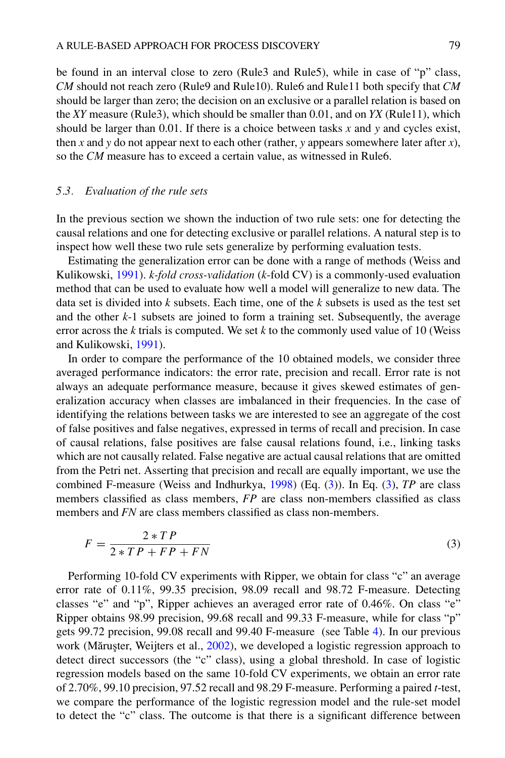be found in an interval close to zero (Rule3 and Rule5), while in case of "p" class, *CM* should not reach zero (Rule9 and Rule10). Rule6 and Rule11 both specify that *CM* should be larger than zero; the decision on an exclusive or a parallel relation is based on the *XY* measure (Rule3), which should be smaller than 0.01, and on *YX* (Rule11), which should be larger than 0.01. If there is a choice between tasks *x* and *y* and cycles exist, then *x* and *y* do not appear next to each other (rather, *y* appears somewhere later after *x*), so the *CM* measure has to exceed a certain value, as witnessed in Rule6.

#### <span id="page-12-0"></span>*5.3. Evaluation of the rule sets*

In the previous section we shown the induction of two rule sets: one for detecting the causal relations and one for detecting exclusive or parallel relations. A natural step is to inspect how well these two rule sets generalize by performing evaluation tests.

Estimating the generalization error can be done with a range of methods (Weiss and Kulikowski, [1991\)](#page-20-13). *k-fold cross-validation* (*k*-fold CV) is a commonly-used evaluation method that can be used to evaluate how well a model will generalize to new data. The data set is divided into *k* subsets. Each time, one of the *k* subsets is used as the test set and the other *k*-1 subsets are joined to form a training set. Subsequently, the average error across the *k* trials is computed. We set *k* to the commonly used value of 10 (Weiss and Kulikowski, [1991\)](#page-20-13).

In order to compare the performance of the 10 obtained models, we consider three averaged performance indicators: the error rate, precision and recall. Error rate is not always an adequate performance measure, because it gives skewed estimates of generalization accuracy when classes are imbalanced in their frequencies. In the case of identifying the relations between tasks we are interested to see an aggregate of the cost of false positives and false negatives, expressed in terms of recall and precision. In case of causal relations, false positives are false causal relations found, i.e., linking tasks which are not causally related. False negative are actual causal relations that are omitted from the Petri net. Asserting that precision and recall are equally important, we use the combined F-measure (Weiss and Indhurkya, [1998\)](#page-20-14) (Eq. [\(3\)](#page-12-1)). In Eq. [\(3\)](#page-12-1), *TP* are class members classified as class members, *FP* are class non-members classified as class members and *FN* are class members classified as class non-members.

$$
F = \frac{2 * TP}{2 * TP + FP + FN} \tag{3}
$$

<span id="page-12-1"></span>Performing 10-fold CV experiments with Ripper, we obtain for class "c" an average error rate of 0.11%, 99.35 precision, 98.09 recall and 98.72 F-measure. Detecting classes "e" and "p", Ripper achieves an averaged error rate of 0.46%. On class "e" Ripper obtains 98.99 precision, 99.68 recall and 99.33 F-measure, while for class "p" gets 99.72 precision, 99.08 recall and 99.40 F-measure (see Table [4\)](#page-13-0). In our previous work (Mărușter, Weijters et al., [2002\)](#page-20-7), we developed a logistic regression approach to detect direct successors (the "c" class), using a global threshold. In case of logistic regression models based on the same 10-fold CV experiments, we obtain an error rate of 2.70%, 99.10 precision, 97.52 recall and 98.29 F-measure. Performing a paired *t*-test, we compare the performance of the logistic regression model and the rule-set model to detect the "c" class. The outcome is that there is a significant difference between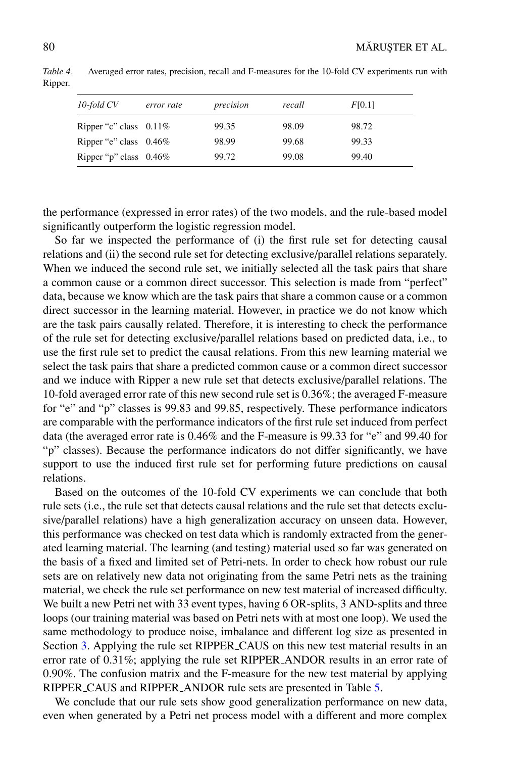| 10-fold CV                | error rate | precision | recall | F[0.1] |
|---------------------------|------------|-----------|--------|--------|
| Ripper "c" class $0.11\%$ |            | 99.35     | 98.09  | 98.72  |
| Ripper "e" class $0.46\%$ |            | 98.99     | 99.68  | 99.33  |
| Ripper "p" class $0.46\%$ |            | 99.72     | 99.08  | 99.40  |

<span id="page-13-0"></span>*Table 4.* Averaged error rates, precision, recall and F-measures for the 10-fold CV experiments run with Ripper.

the performance (expressed in error rates) of the two models, and the rule-based model significantly outperform the logistic regression model.

So far we inspected the performance of (i) the first rule set for detecting causal relations and (ii) the second rule set for detecting exclusive/parallel relations separately. When we induced the second rule set, we initially selected all the task pairs that share a common cause or a common direct successor. This selection is made from "perfect" data, because we know which are the task pairs that share a common cause or a common direct successor in the learning material. However, in practice we do not know which are the task pairs causally related. Therefore, it is interesting to check the performance of the rule set for detecting exclusive/parallel relations based on predicted data, i.e., to use the first rule set to predict the causal relations. From this new learning material we select the task pairs that share a predicted common cause or a common direct successor and we induce with Ripper a new rule set that detects exclusive/parallel relations. The 10-fold averaged error rate of this new second rule set is 0.36%; the averaged F-measure for "e" and "p" classes is 99.83 and 99.85, respectively. These performance indicators are comparable with the performance indicators of the first rule set induced from perfect data (the averaged error rate is 0.46% and the F-measure is 99.33 for "e" and 99.40 for "p" classes). Because the performance indicators do not differ significantly, we have support to use the induced first rule set for performing future predictions on causal relations.

Based on the outcomes of the 10-fold CV experiments we can conclude that both rule sets (i.e., the rule set that detects causal relations and the rule set that detects exclusive/parallel relations) have a high generalization accuracy on unseen data. However, this performance was checked on test data which is randomly extracted from the generated learning material. The learning (and testing) material used so far was generated on the basis of a fixed and limited set of Petri-nets. In order to check how robust our rule sets are on relatively new data not originating from the same Petri nets as the training material, we check the rule set performance on new test material of increased difficulty. We built a new Petri net with 33 event types, having 6 OR-splits, 3 AND-splits and three loops (our training material was based on Petri nets with at most one loop). We used the same methodology to produce noise, imbalance and different log size as presented in Section [3.](#page-4-0) Applying the rule set RIPPER CAUS on this new test material results in an error rate of 0.31%; applying the rule set RIPPER ANDOR results in an error rate of 0.90%. The confusion matrix and the F-measure for the new test material by applying RIPPER CAUS and RIPPER ANDOR rule sets are presented in Table [5.](#page-14-1)

We conclude that our rule sets show good generalization performance on new data, even when generated by a Petri net process model with a different and more complex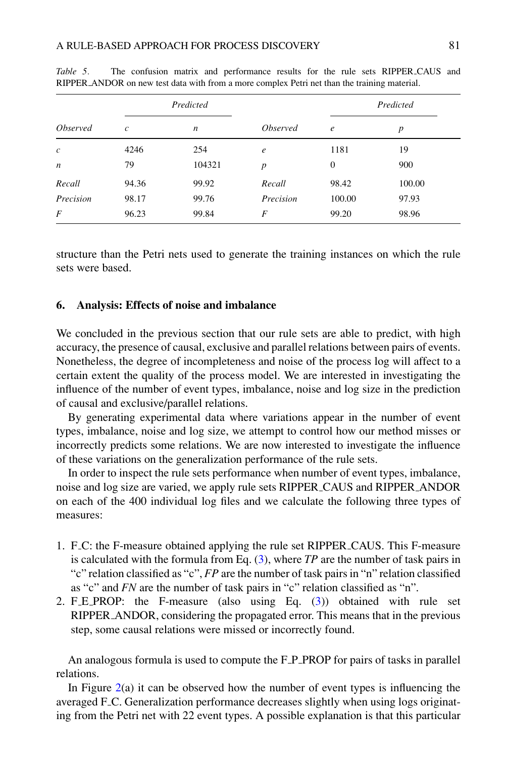|                  |               | Predicted        |                        | Predicted      |                  |
|------------------|---------------|------------------|------------------------|----------------|------------------|
| <i>Observed</i>  | $\mathcal{C}$ | $\boldsymbol{n}$ | <i><b>Observed</b></i> | $\epsilon$     | $\boldsymbol{p}$ |
| $\boldsymbol{c}$ | 4246          | 254              | $\boldsymbol{e}$       | 1181           | 19               |
| $\boldsymbol{n}$ | 79            | 104321           | $\overline{p}$         | $\overline{0}$ | 900              |
| Recall           | 94.36         | 99.92            | Recall                 | 98.42          | 100.00           |
| Precision        | 98.17         | 99.76            | Precision              | 100.00         | 97.93            |
| F                | 96.23         | 99.84            | F                      | 99.20          | 98.96            |

<span id="page-14-1"></span>*Table 5.* The confusion matrix and performance results for the rule sets RIPPER CAUS and RIPPER ANDOR on new test data with from a more complex Petri net than the training material.

structure than the Petri nets used to generate the training instances on which the rule sets were based.

## <span id="page-14-0"></span>**6. Analysis: Effects of noise and imbalance**

We concluded in the previous section that our rule sets are able to predict, with high accuracy, the presence of causal, exclusive and parallel relations between pairs of events. Nonetheless, the degree of incompleteness and noise of the process log will affect to a certain extent the quality of the process model. We are interested in investigating the influence of the number of event types, imbalance, noise and log size in the prediction of causal and exclusive/parallel relations.

By generating experimental data where variations appear in the number of event types, imbalance, noise and log size, we attempt to control how our method misses or incorrectly predicts some relations. We are now interested to investigate the influence of these variations on the generalization performance of the rule sets.

In order to inspect the rule sets performance when number of event types, imbalance, noise and log size are varied, we apply rule sets RIPPER CAUS and RIPPER ANDOR on each of the 400 individual log files and we calculate the following three types of measures:

- 1. F C: the F-measure obtained applying the rule set RIPPER CAUS. This F-measure is calculated with the formula from Eq. [\(3\)](#page-12-1), where *TP* are the number of task pairs in "c" relation classified as "c", *FP* are the number of task pairs in "n" relation classified as "c" and *FN* are the number of task pairs in "c" relation classified as "n".
- 2. F E PROP: the F-measure (also using Eq. [\(3\)](#page-12-1)) obtained with rule set RIPPER ANDOR, considering the propagated error. This means that in the previous step, some causal relations were missed or incorrectly found.

An analogous formula is used to compute the F P PROP for pairs of tasks in parallel relations.

In Figure  $2(a)$  $2(a)$  it can be observed how the number of event types is influencing the averaged F C. Generalization performance decreases slightly when using logs originating from the Petri net with 22 event types. A possible explanation is that this particular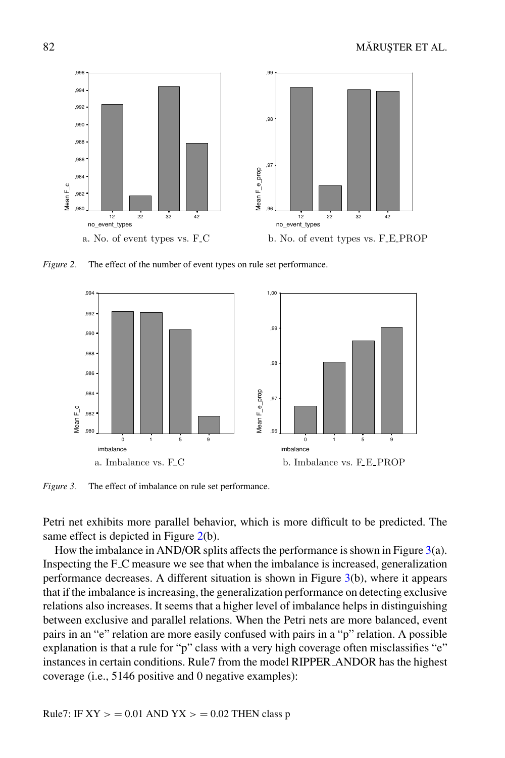<span id="page-15-0"></span>

<span id="page-15-1"></span>*Figure 2.* The effect of the number of event types on rule set performance.



*Figure 3.* The effect of imbalance on rule set performance.

Petri net exhibits more parallel behavior, which is more difficult to be predicted. The same effect is depicted in Figure [2\(](#page-15-0)b).

How the imbalance in AND/OR splits affects the performance is shown in Figure  $3(a)$  $3(a)$ . Inspecting the F C measure we see that when the imbalance is increased, generalization performance decreases. A different situation is shown in Figure [3\(](#page-15-1)b), where it appears that if the imbalance is increasing, the generalization performance on detecting exclusive relations also increases. It seems that a higher level of imbalance helps in distinguishing between exclusive and parallel relations. When the Petri nets are more balanced, event pairs in an "e" relation are more easily confused with pairs in a "p" relation. A possible explanation is that a rule for "p" class with a very high coverage often misclassifies "e" instances in certain conditions. Rule7 from the model RIPPER ANDOR has the highest coverage (i.e., 5146 positive and 0 negative examples):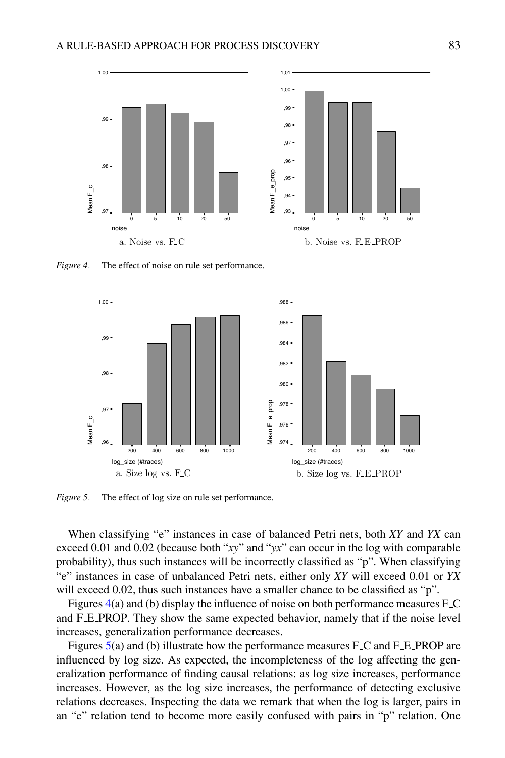<span id="page-16-0"></span>

<span id="page-16-1"></span>*Figure 4.* The effect of noise on rule set performance.



*Figure 5.* The effect of log size on rule set performance.

When classifying "e" instances in case of balanced Petri nets, both *XY* and *YX* can exceed 0.01 and 0.02 (because both "*xy*" and "*yx*" can occur in the log with comparable probability), thus such instances will be incorrectly classified as "p". When classifying "e" instances in case of unbalanced Petri nets, either only *XY* will exceed 0.01 or *YX* will exceed 0.02, thus such instances have a smaller chance to be classified as "p".

Figures  $4(a)$  $4(a)$  and (b) display the influence of noise on both performance measures F.C and F E PROP. They show the same expected behavior, namely that if the noise level increases, generalization performance decreases.

Figures [5\(](#page-16-1)a) and (b) illustrate how the performance measures F<sub>-C</sub> and F<sub>-E-PROP</sub> are influenced by log size. As expected, the incompleteness of the log affecting the generalization performance of finding causal relations: as log size increases, performance increases. However, as the log size increases, the performance of detecting exclusive relations decreases. Inspecting the data we remark that when the log is larger, pairs in an "e" relation tend to become more easily confused with pairs in "p" relation. One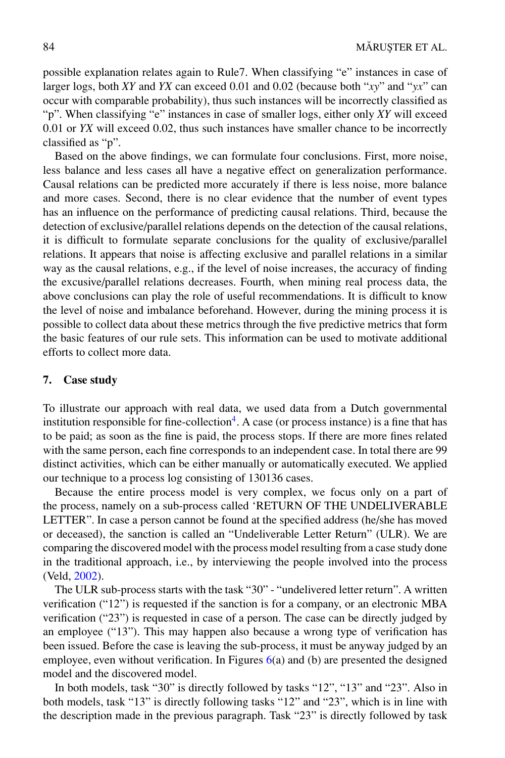possible explanation relates again to Rule7. When classifying "e" instances in case of larger logs, both *XY* and *YX* can exceed 0.01 and 0.02 (because both "*xy*" and "*yx*" can occur with comparable probability), thus such instances will be incorrectly classified as "p". When classifying "e" instances in case of smaller logs, either only *XY* will exceed 0.01 or *YX* will exceed 0.02, thus such instances have smaller chance to be incorrectly classified as "p".

Based on the above findings, we can formulate four conclusions. First, more noise, less balance and less cases all have a negative effect on generalization performance. Causal relations can be predicted more accurately if there is less noise, more balance and more cases. Second, there is no clear evidence that the number of event types has an influence on the performance of predicting causal relations. Third, because the detection of exclusive/parallel relations depends on the detection of the causal relations, it is difficult to formulate separate conclusions for the quality of exclusive/parallel relations. It appears that noise is affecting exclusive and parallel relations in a similar way as the causal relations, e.g., if the level of noise increases, the accuracy of finding the excusive/parallel relations decreases. Fourth, when mining real process data, the above conclusions can play the role of useful recommendations. It is difficult to know the level of noise and imbalance beforehand. However, during the mining process it is possible to collect data about these metrics through the five predictive metrics that form the basic features of our rule sets. This information can be used to motivate additional efforts to collect more data.

## <span id="page-17-0"></span>**7. Case study**

To illustrate our approach with real data, we used data from a Dutch governmental institution responsible for fine-collection<sup>4</sup>[.](#page-19-8) A case (or process instance) is a fine that has to be paid; as soon as the fine is paid, the process stops. If there are more fines related with the same person, each fine corresponds to an independent case. In total there are 99 distinct activities, which can be either manually or automatically executed. We applied our technique to a process log consisting of 130136 cases.

Because the entire process model is very complex, we focus only on a part of the process, namely on a sub-process called 'RETURN OF THE UNDELIVERABLE LETTER". In case a person cannot be found at the specified address (he/she has moved or deceased), the sanction is called an "Undeliverable Letter Return" (ULR). We are comparing the discovered model with the process model resulting from a case study done in the traditional approach, i.e., by interviewing the people involved into the process (Veld, [2002\)](#page-20-15).

The ULR sub-process starts with the task "30" - "undelivered letter return". A written verification ("12") is requested if the sanction is for a company, or an electronic MBA verification ("23") is requested in case of a person. The case can be directly judged by an employee ("13"). This may happen also because a wrong type of verification has been issued. Before the case is leaving the sub-process, it must be anyway judged by an employee, even without verification. In Figures  $6(a)$  $6(a)$  and (b) are presented the designed model and the discovered model.

In both models, task "30" is directly followed by tasks "12", "13" and "23". Also in both models, task "13" is directly following tasks "12" and "23", which is in line with the description made in the previous paragraph. Task "23" is directly followed by task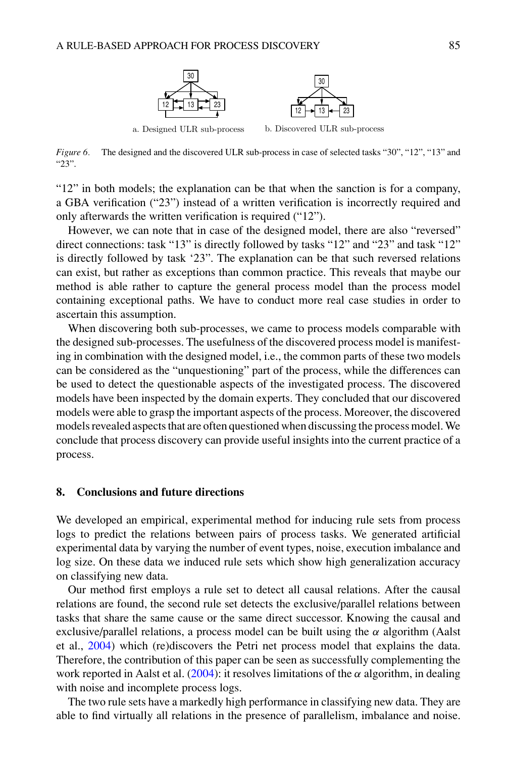

<span id="page-18-1"></span>*Figure 6.* The designed and the discovered ULR sub-process in case of selected tasks "30", "12", "13" and "23".

"12" in both models; the explanation can be that when the sanction is for a company, a GBA verification ("23") instead of a written verification is incorrectly required and only afterwards the written verification is required ("12").

However, we can note that in case of the designed model, there are also "reversed" direct connections: task "13" is directly followed by tasks "12" and "23" and task "12" is directly followed by task '23". The explanation can be that such reversed relations can exist, but rather as exceptions than common practice. This reveals that maybe our method is able rather to capture the general process model than the process model containing exceptional paths. We have to conduct more real case studies in order to ascertain this assumption.

When discovering both sub-processes, we came to process models comparable with the designed sub-processes. The usefulness of the discovered process model is manifesting in combination with the designed model, i.e., the common parts of these two models can be considered as the "unquestioning" part of the process, while the differences can be used to detect the questionable aspects of the investigated process. The discovered models have been inspected by the domain experts. They concluded that our discovered models were able to grasp the important aspects of the process. Moreover, the discovered models revealed aspects that are often questioned when discussing the process model. We conclude that process discovery can provide useful insights into the current practice of a process.

# <span id="page-18-0"></span>**8. Conclusions and future directions**

We developed an empirical, experimental method for inducing rule sets from process logs to predict the relations between pairs of process tasks. We generated artificial experimental data by varying the number of event types, noise, execution imbalance and log size. On these data we induced rule sets which show high generalization accuracy on classifying new data.

Our method first employs a rule set to detect all causal relations. After the causal relations are found, the second rule set detects the exclusive/parallel relations between tasks that share the same cause or the same direct successor. Knowing the causal and exclusive/parallel relations, a process model can be built using the  $\alpha$  algorithm (Aalst et al., [2004\)](#page-19-1) which (re)discovers the Petri net process model that explains the data. Therefore, the contribution of this paper can be seen as successfully complementing the work reported in Aalst et al. [\(2004\)](#page-19-1): it resolves limitations of the  $\alpha$  algorithm, in dealing with noise and incomplete process logs.

The two rule sets have a markedly high performance in classifying new data. They are able to find virtually all relations in the presence of parallelism, imbalance and noise.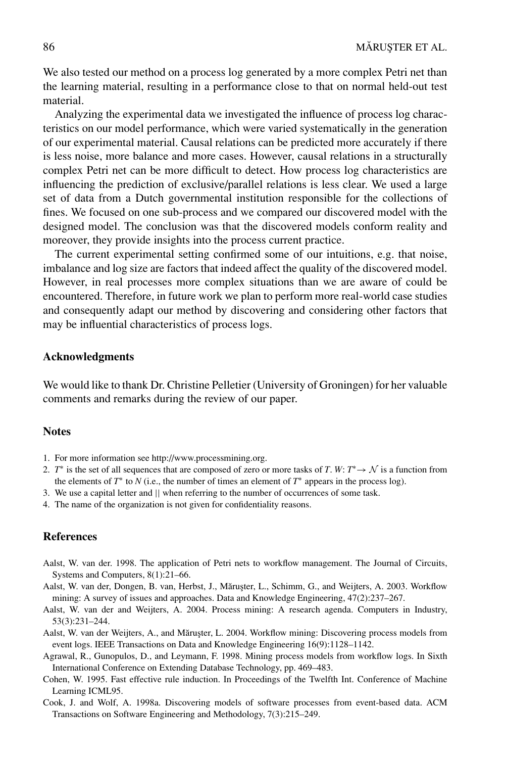We also tested our method on a process log generated by a more complex Petri net than the learning material, resulting in a performance close to that on normal held-out test material.

Analyzing the experimental data we investigated the influence of process log characteristics on our model performance, which were varied systematically in the generation of our experimental material. Causal relations can be predicted more accurately if there is less noise, more balance and more cases. However, causal relations in a structurally complex Petri net can be more difficult to detect. How process log characteristics are influencing the prediction of exclusive/parallel relations is less clear. We used a large set of data from a Dutch governmental institution responsible for the collections of fines. We focused on one sub-process and we compared our discovered model with the designed model. The conclusion was that the discovered models conform reality and moreover, they provide insights into the process current practice.

The current experimental setting confirmed some of our intuitions, e.g. that noise, imbalance and log size are factors that indeed affect the quality of the discovered model. However, in real processes more complex situations than we are aware of could be encountered. Therefore, in future work we plan to perform more real-world case studies and consequently adapt our method by discovering and considering other factors that may be influential characteristics of process logs.

## **Acknowledgments**

We would like to thank Dr. Christine Pelletier (University of Groningen) for her valuable comments and remarks during the review of our paper.

# <span id="page-19-5"></span>**Notes**

- 1. For more information see http://www.processmining.org.
- 2. *T*<sup>\*</sup> is the set of all sequences that are composed of zero or more tasks of *T*. *W*:  $T^* \rightarrow \mathcal{N}$  is a function from the elements of  $T^*$  to  $N$  (i.e., the number of times an element of  $T^*$  appears in the process log).
- 3. We use a capital letter and || when referring to the number of occurrences of some task.
- <span id="page-19-8"></span><span id="page-19-6"></span>4. The name of the organization is not given for confidentiality reasons.

# **References**

- Aalst, W. van der. 1998. The application of Petri nets to workflow management. The Journal of Circuits, Systems and Computers, 8(1):21–66.
- <span id="page-19-4"></span>Aalst, W. van der, Dongen, B. van, Herbst, J., Măruşter, L., Schimm, G., and Weijters, A. 2003. Workflow mining: A survey of issues and approaches. Data and Knowledge Engineering, 47(2):237–267.
- <span id="page-19-0"></span>Aalst, W. van der and Weijters, A. 2004. Process mining: A research agenda. Computers in Industry, 53(3):231–244.
- <span id="page-19-1"></span>Aalst, W. van der Weijters, A., and Măruster, L. 2004. Workflow mining: Discovering process models from event logs. IEEE Transactions on Data and Knowledge Engineering 16(9):1128–1142.
- Agrawal, R., Gunopulos, D., and Leymann, F. 1998. Mining process models from workflow logs. In Sixth International Conference on Extending Database Technology, pp. 469–483.
- <span id="page-19-2"></span>Cohen, W. 1995. Fast effective rule induction. In Proceedings of the Twelfth Int. Conference of Machine Learning ICML95.
- <span id="page-19-7"></span><span id="page-19-3"></span>Cook, J. and Wolf, A. 1998a. Discovering models of software processes from event-based data. ACM Transactions on Software Engineering and Methodology, 7(3):215–249.